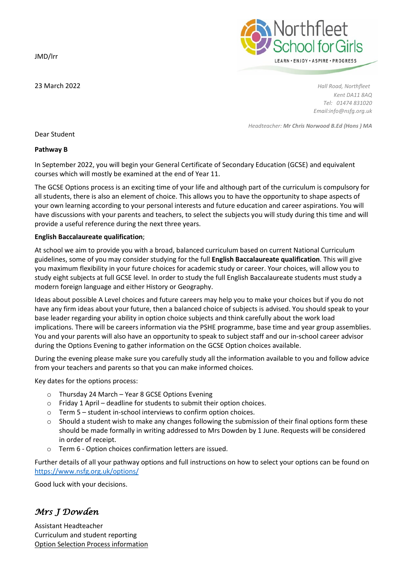JMD/lrr



23 March 2022 *Hall Road, Northfleet Kent DA11 8AQ Tel: 01474 831020 Email:info@nsfg.org.uk*

*Headteacher: Mr Chris Norwood B.Ed (Hons ) MA*

Dear Student

## **Pathway B**

In September 2022, you will begin your General Certificate of Secondary Education (GCSE) and equivalent courses which will mostly be examined at the end of Year 11.

The GCSE Options process is an exciting time of your life and although part of the curriculum is compulsory for all students, there is also an element of choice. This allows you to have the opportunity to shape aspects of your own learning according to your personal interests and future education and career aspirations. You will have discussions with your parents and teachers, to select the subjects you will study during this time and will provide a useful reference during the next three years.

## **English Baccalaureate qualification**;

At school we aim to provide you with a broad, balanced curriculum based on current National Curriculum guidelines, some of you may consider studying for the full **English Baccalaureate qualification**. This will give you maximum flexibility in your future choices for academic study or career. Your choices, will allow you to study eight subjects at full GCSE level. In order to study the full English Baccalaureate students must study a modern foreign language and either History or Geography.

Ideas about possible A Level choices and future careers may help you to make your choices but if you do not have any firm ideas about your future, then a balanced choice of subjects is advised. You should speak to your base leader regarding your ability in option choice subjects and think carefully about the work load implications. There will be careers information via the PSHE programme, base time and year group assemblies. You and your parents will also have an opportunity to speak to subject staff and our in-school career advisor during the Options Evening to gather information on the GCSE Option choices available.

During the evening please make sure you carefully study all the information available to you and follow advice from your teachers and parents so that you can make informed choices.

Key dates for the options process:

- o Thursday 24 March Year 8 GCSE Options Evening
- o Friday 1 April deadline for students to submit their option choices.
- o Term 5 student in-school interviews to confirm option choices.
- $\circ$  Should a student wish to make any changes following the submission of their final options form these should be made formally in writing addressed to Mrs Dowden by 1 June. Requests will be considered in order of receipt.
- o Term 6 Option choices confirmation letters are issued.

Further details of all your pathway options and full instructions on how to select your options can be found on <https://www.nsfg.org.uk/options/>

Good luck with your decisions.

# *Mrs J Dowden*

Assistant Headteacher Curriculum and student reporting Option Selection Process information